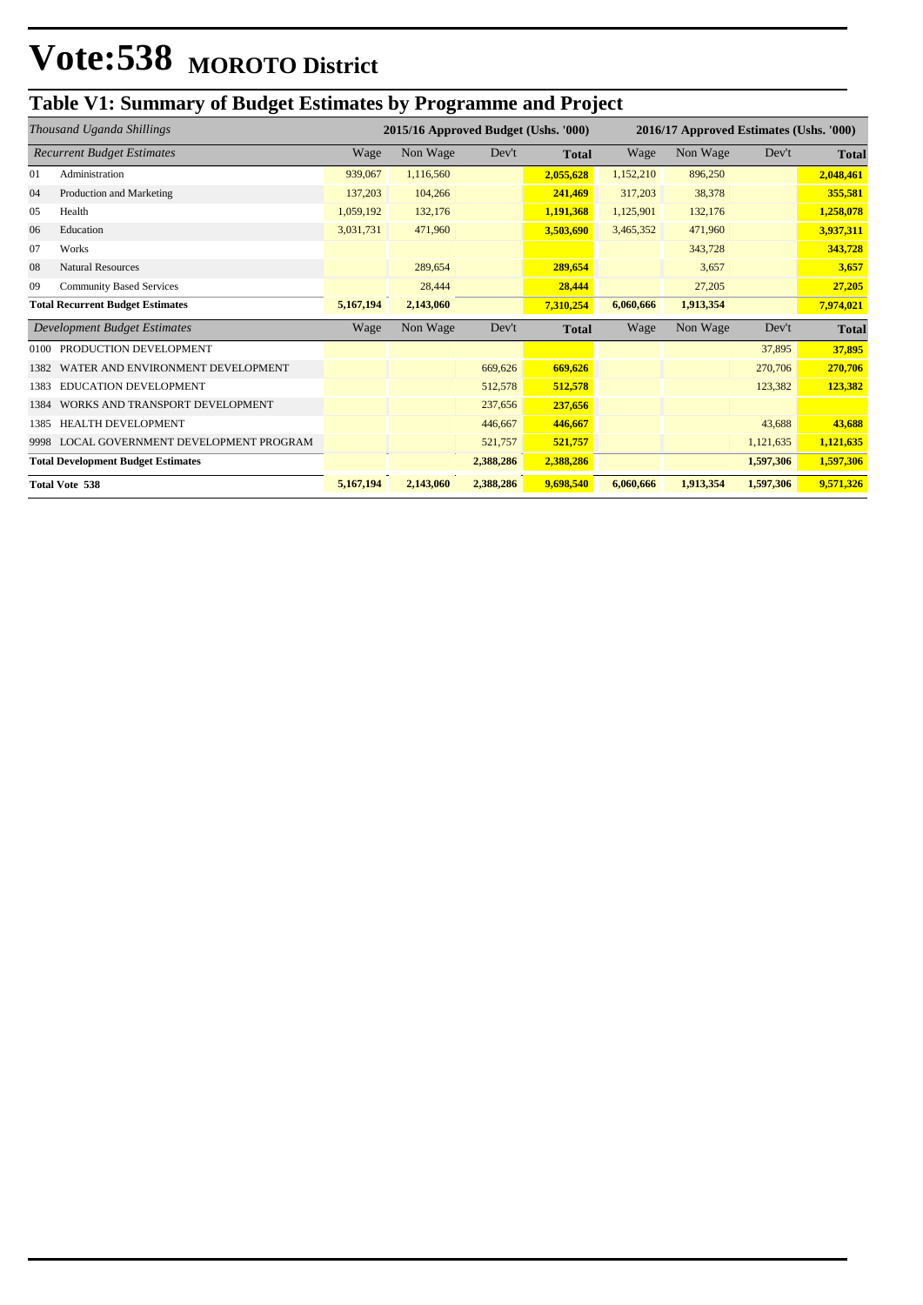### **Table V1: Summary of Budget Estimates by Programme and Project**

| Thousand Uganda Shillings                 |                                      | 2015/16 Approved Budget (Ushs. '000) |           |           |              | 2016/17 Approved Estimates (Ushs. '000) |           |           |              |
|-------------------------------------------|--------------------------------------|--------------------------------------|-----------|-----------|--------------|-----------------------------------------|-----------|-----------|--------------|
| <b>Recurrent Budget Estimates</b>         |                                      | Wage                                 | Non Wage  | Dev't     | <b>Total</b> | Wage                                    | Non Wage  | Dev't     | <b>Total</b> |
| 01                                        | Administration                       | 939,067                              | 1,116,560 |           | 2,055,628    | 1,152,210                               | 896,250   |           | 2,048,461    |
| 04                                        | Production and Marketing             | 137,203                              | 104,266   |           | 241,469      | 317,203                                 | 38,378    |           | 355,581      |
| 05                                        | Health                               | 1,059,192                            | 132,176   |           | 1,191,368    | 1,125,901                               | 132,176   |           | 1,258,078    |
| 06                                        | Education                            | 3,031,731                            | 471,960   |           | 3,503,690    | 3,465,352                               | 471,960   |           | 3,937,311    |
| 07                                        | Works                                |                                      |           |           |              |                                         | 343,728   |           | 343,728      |
| 08                                        | <b>Natural Resources</b>             |                                      | 289,654   |           | 289,654      |                                         | 3,657     |           | 3,657        |
| 09                                        | <b>Community Based Services</b>      |                                      | 28,444    |           | 28,444       |                                         | 27,205    |           | 27,205       |
| <b>Total Recurrent Budget Estimates</b>   |                                      | 5,167,194                            | 2,143,060 |           | 7,310,254    | 6,060,666                               | 1,913,354 |           | 7,974,021    |
| <b>Development Budget Estimates</b>       |                                      | Wage                                 | Non Wage  | Dev't     | <b>Total</b> | Wage                                    | Non Wage  | Dev't     | <b>Total</b> |
| 0100                                      | PRODUCTION DEVELOPMENT               |                                      |           |           |              |                                         |           | 37,895    | 37,895       |
| 1382                                      | WATER AND ENVIRONMENT DEVELOPMENT    |                                      |           | 669,626   | 669,626      |                                         |           | 270,706   | 270,706      |
| 1383                                      | <b>EDUCATION DEVELOPMENT</b>         |                                      |           | 512,578   | 512,578      |                                         |           | 123,382   | 123,382      |
| 1384                                      | WORKS AND TRANSPORT DEVELOPMENT      |                                      |           | 237,656   | 237,656      |                                         |           |           |              |
| 1385                                      | <b>HEALTH DEVELOPMENT</b>            |                                      |           | 446,667   | 446,667      |                                         |           | 43,688    | 43,688       |
| 9998                                      | LOCAL GOVERNMENT DEVELOPMENT PROGRAM |                                      |           | 521,757   | 521,757      |                                         |           | 1,121,635 | 1,121,635    |
| <b>Total Development Budget Estimates</b> |                                      |                                      |           | 2,388,286 | 2,388,286    |                                         |           | 1,597,306 | 1,597,306    |
| <b>Total Vote 538</b>                     |                                      | 5,167,194                            | 2,143,060 | 2,388,286 | 9,698,540    | 6,060,666                               | 1,913,354 | 1,597,306 | 9,571,326    |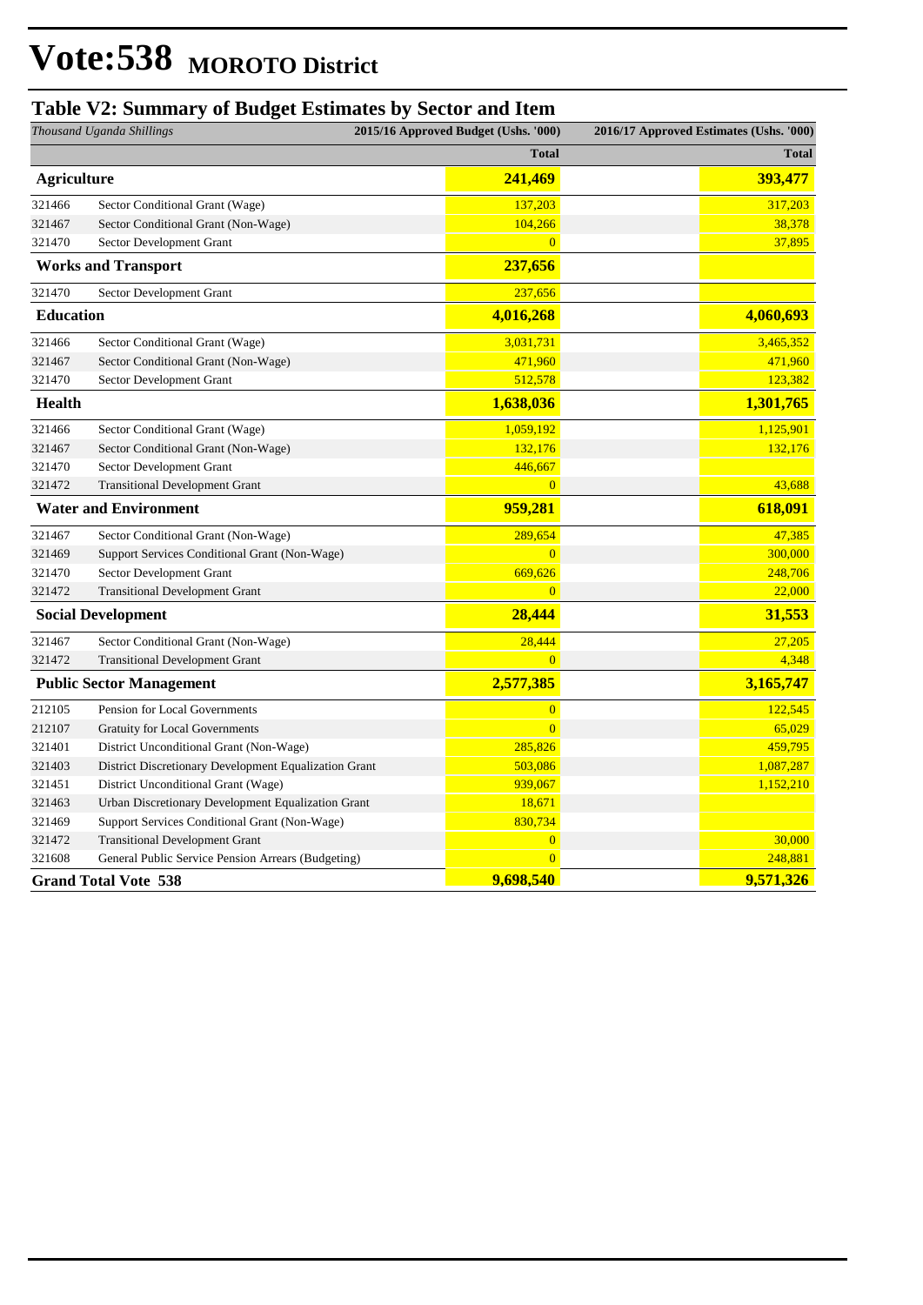#### **Table V2: Summary of Budget Estimates by Sector and Item**

| Thousand Uganda Shillings       |                                                       | 2015/16 Approved Budget (Ushs. '000) | 2016/17 Approved Estimates (Ushs. '000) |              |
|---------------------------------|-------------------------------------------------------|--------------------------------------|-----------------------------------------|--------------|
|                                 |                                                       | <b>Total</b>                         |                                         | <b>Total</b> |
| <b>Agriculture</b>              |                                                       | 241,469                              |                                         | 393,477      |
| 321466                          | Sector Conditional Grant (Wage)                       | 137,203                              |                                         | 317,203      |
| 321467                          | Sector Conditional Grant (Non-Wage)                   | 104,266                              |                                         | 38,378       |
| 321470                          | Sector Development Grant                              | $\overline{0}$                       |                                         | 37,895       |
|                                 | <b>Works and Transport</b>                            | 237,656                              |                                         |              |
| 321470                          | Sector Development Grant                              | 237,656                              |                                         |              |
| <b>Education</b>                |                                                       | 4,016,268                            |                                         | 4,060,693    |
| 321466                          | Sector Conditional Grant (Wage)                       | 3,031,731                            |                                         | 3,465,352    |
| 321467                          | Sector Conditional Grant (Non-Wage)                   | 471,960                              |                                         | 471,960      |
| 321470                          | Sector Development Grant                              | 512,578                              |                                         | 123,382      |
| Health                          |                                                       | 1,638,036                            |                                         | 1,301,765    |
| 321466                          | Sector Conditional Grant (Wage)                       | 1,059,192                            |                                         | 1,125,901    |
| 321467                          | Sector Conditional Grant (Non-Wage)                   | 132,176                              |                                         | 132,176      |
| 321470                          | Sector Development Grant                              | 446,667                              |                                         |              |
| 321472                          | <b>Transitional Development Grant</b>                 | $\overline{0}$                       |                                         | 43,688       |
| <b>Water and Environment</b>    |                                                       | 959,281                              |                                         | 618,091      |
| 321467                          | Sector Conditional Grant (Non-Wage)                   | 289,654                              |                                         | 47,385       |
| 321469                          | Support Services Conditional Grant (Non-Wage)         | $\overline{0}$                       |                                         | 300,000      |
| 321470                          | Sector Development Grant                              | 669,626                              |                                         | 248,706      |
| 321472                          | <b>Transitional Development Grant</b>                 | $\overline{0}$                       |                                         | 22,000       |
| <b>Social Development</b>       |                                                       | 28,444                               |                                         | 31,553       |
| 321467                          | Sector Conditional Grant (Non-Wage)                   | 28,444                               |                                         | 27,205       |
| 321472                          | <b>Transitional Development Grant</b>                 | $\overline{0}$                       |                                         | 4,348        |
| <b>Public Sector Management</b> |                                                       | 2,577,385                            |                                         | 3,165,747    |
| 212105                          | Pension for Local Governments                         | $\overline{0}$                       |                                         | 122,545      |
| 212107                          | <b>Gratuity for Local Governments</b>                 | $\overline{0}$                       |                                         | 65,029       |
| 321401                          | District Unconditional Grant (Non-Wage)               | 285,826                              |                                         | 459,795      |
| 321403                          | District Discretionary Development Equalization Grant | 503,086                              |                                         | 1,087,287    |
| 321451                          | District Unconditional Grant (Wage)                   | 939,067                              |                                         | 1,152,210    |
| 321463                          | Urban Discretionary Development Equalization Grant    | 18,671                               |                                         |              |
| 321469                          | Support Services Conditional Grant (Non-Wage)         | 830,734                              |                                         |              |
| 321472                          | <b>Transitional Development Grant</b>                 | $\overline{0}$                       |                                         | 30,000       |
| 321608                          | General Public Service Pension Arrears (Budgeting)    | $\overline{0}$                       |                                         | 248,881      |
|                                 | <b>Grand Total Vote 538</b>                           | 9,698,540                            |                                         | 9,571,326    |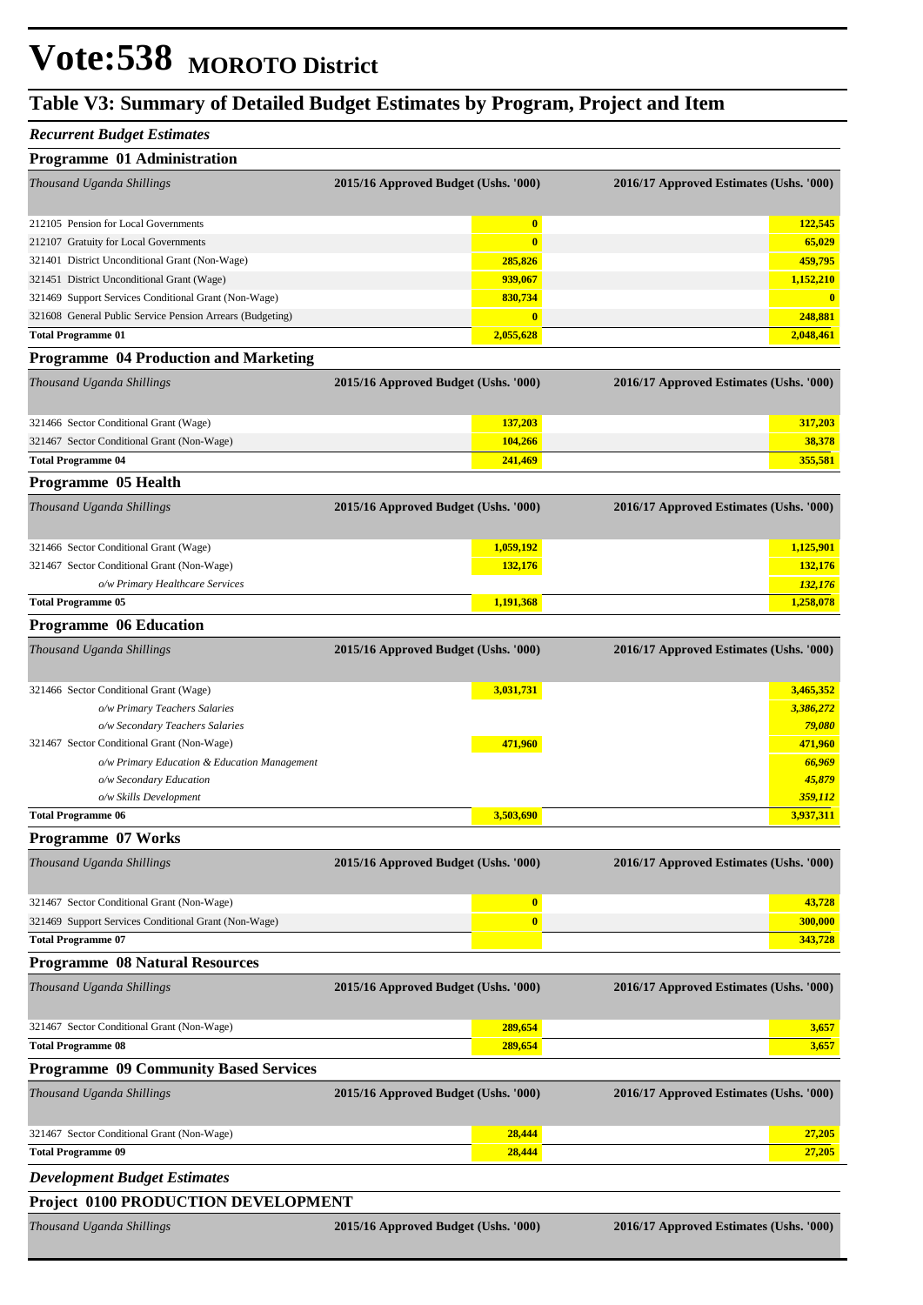#### **Table V3: Summary of Detailed Budget Estimates by Program, Project and Item**

#### *Recurrent Budget Estimates*

| Programme 01 Administration                                             |                                      |                                         |
|-------------------------------------------------------------------------|--------------------------------------|-----------------------------------------|
| Thousand Uganda Shillings                                               | 2015/16 Approved Budget (Ushs. '000) | 2016/17 Approved Estimates (Ushs. '000) |
| 212105 Pension for Local Governments                                    | $\bf{0}$                             | 122,545                                 |
| 212107 Gratuity for Local Governments                                   | $\bf{0}$                             | 65,029                                  |
| 321401 District Unconditional Grant (Non-Wage)                          | 285,826                              | 459,795                                 |
| 321451 District Unconditional Grant (Wage)                              | 939,067                              | 1,152,210                               |
| 321469 Support Services Conditional Grant (Non-Wage)                    | 830,734                              | $\mathbf{0}$                            |
| 321608 General Public Service Pension Arrears (Budgeting)               | $\bf{0}$                             | 248,881                                 |
| <b>Total Programme 01</b>                                               | 2,055,628                            | 2,048,461                               |
| <b>Programme 04 Production and Marketing</b>                            |                                      |                                         |
| Thousand Uganda Shillings                                               | 2015/16 Approved Budget (Ushs. '000) | 2016/17 Approved Estimates (Ushs. '000) |
| 321466 Sector Conditional Grant (Wage)                                  | 137,203                              | 317,203                                 |
| 321467 Sector Conditional Grant (Non-Wage)                              | 104,266                              | 38,378                                  |
| <b>Total Programme 04</b>                                               | 241,469                              | 355,581                                 |
| Programme 05 Health                                                     |                                      |                                         |
| Thousand Uganda Shillings                                               | 2015/16 Approved Budget (Ushs. '000) | 2016/17 Approved Estimates (Ushs. '000) |
| 321466 Sector Conditional Grant (Wage)                                  | 1,059,192                            | 1,125,901                               |
| 321467 Sector Conditional Grant (Non-Wage)                              | 132,176                              | 132,176                                 |
| o/w Primary Healthcare Services                                         |                                      | 132,176                                 |
| <b>Total Programme 05</b>                                               | 1,191,368                            | 1,258,078                               |
| <b>Programme 06 Education</b>                                           |                                      |                                         |
| Thousand Uganda Shillings                                               | 2015/16 Approved Budget (Ushs. '000) | 2016/17 Approved Estimates (Ushs. '000) |
| 321466 Sector Conditional Grant (Wage)                                  | 3,031,731                            | 3,465,352                               |
| o/w Primary Teachers Salaries                                           |                                      | 3,386,272                               |
| o/w Secondary Teachers Salaries                                         |                                      | 79,080                                  |
| 321467 Sector Conditional Grant (Non-Wage)                              | 471,960                              | 471,960                                 |
| o/w Primary Education & Education Management                            |                                      | 66,969                                  |
| o/w Secondary Education                                                 |                                      | 45,879                                  |
| o/w Skills Development                                                  | 3,503,690                            | 359,112                                 |
| <b>Total Programme 06</b>                                               |                                      | 3,937,311                               |
| <b>Programme 07 Works</b>                                               |                                      |                                         |
| Thousand Uganda Shillings                                               | 2015/16 Approved Budget (Ushs. '000) | 2016/17 Approved Estimates (Ushs. '000) |
| 321467 Sector Conditional Grant (Non-Wage)                              | $\bf{0}$                             | 43,728                                  |
| 321469 Support Services Conditional Grant (Non-Wage)                    | $\bf{0}$                             | 300,000                                 |
| <b>Total Programme 07</b>                                               |                                      | 343,728                                 |
| <b>Programme 08 Natural Resources</b>                                   |                                      |                                         |
| Thousand Uganda Shillings                                               | 2015/16 Approved Budget (Ushs. '000) | 2016/17 Approved Estimates (Ushs. '000) |
| 321467 Sector Conditional Grant (Non-Wage)                              | 289,654                              | 3,657                                   |
| <b>Total Programme 08</b>                                               | 289,654                              | 3,657                                   |
| <b>Programme 09 Community Based Services</b>                            |                                      |                                         |
| Thousand Uganda Shillings                                               | 2015/16 Approved Budget (Ushs. '000) | 2016/17 Approved Estimates (Ushs. '000) |
|                                                                         |                                      |                                         |
| 321467 Sector Conditional Grant (Non-Wage)<br><b>Total Programme 09</b> | 28,444<br>28,444                     | 27,205<br>27,205                        |
|                                                                         |                                      |                                         |
| <b>Development Budget Estimates</b>                                     |                                      |                                         |
| Project 0100 PRODUCTION DEVELOPMENT                                     |                                      |                                         |
| Thousand Uganda Shillings                                               | 2015/16 Approved Budget (Ushs. '000) | 2016/17 Approved Estimates (Ushs. '000) |